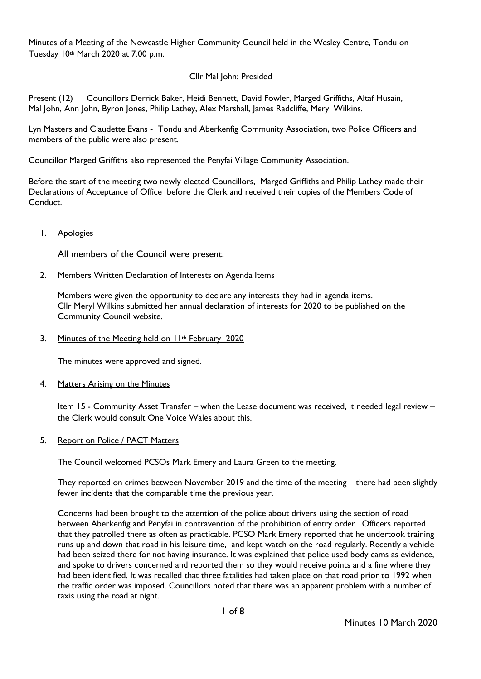Minutes of a Meeting of the Newcastle Higher Community Council held in the Wesley Centre, Tondu on Tuesday 10th March 2020 at 7.00 p.m.

# Cllr Mal John: Presided

Present (12) Councillors Derrick Baker, Heidi Bennett, David Fowler, Marged Griffiths, Altaf Husain, Mal John, Ann John, Byron Jones, Philip Lathey, Alex Marshall, James Radcliffe, Meryl Wilkins.

Lyn Masters and Claudette Evans - Tondu and Aberkenfig Community Association, two Police Officers and members of the public were also present.

Councillor Marged Griffiths also represented the Penyfai Village Community Association.

Before the start of the meeting two newly elected Councillors, Marged Griffiths and Philip Lathey made their Declarations of Acceptance of Office before the Clerk and received their copies of the Members Code of Conduct.

1. Apologies

All members of the Council were present.

### 2. Members Written Declaration of Interests on Agenda Items

Members were given the opportunity to declare any interests they had in agenda items. Cllr Meryl Wilkins submitted her annual declaration of interests for 2020 to be published on the Community Council website.

3. Minutes of the Meeting held on II<sup>th</sup> February 2020

The minutes were approved and signed.

### 4. Matters Arising on the Minutes

Item 15 - Community Asset Transfer – when the Lease document was received, it needed legal review – the Clerk would consult One Voice Wales about this.

### 5. Report on Police / PACT Matters

The Council welcomed PCSOs Mark Emery and Laura Green to the meeting.

They reported on crimes between November 2019 and the time of the meeting – there had been slightly fewer incidents that the comparable time the previous year.

Concerns had been brought to the attention of the police about drivers using the section of road between Aberkenfig and Penyfai in contravention of the prohibition of entry order. Officers reported that they patrolled there as often as practicable. PCSO Mark Emery reported that he undertook training runs up and down that road in his leisure time, and kept watch on the road regularly. Recently a vehicle had been seized there for not having insurance. It was explained that police used body cams as evidence, and spoke to drivers concerned and reported them so they would receive points and a fine where they had been identified. It was recalled that three fatalities had taken place on that road prior to 1992 when the traffic order was imposed. Councillors noted that there was an apparent problem with a number of taxis using the road at night.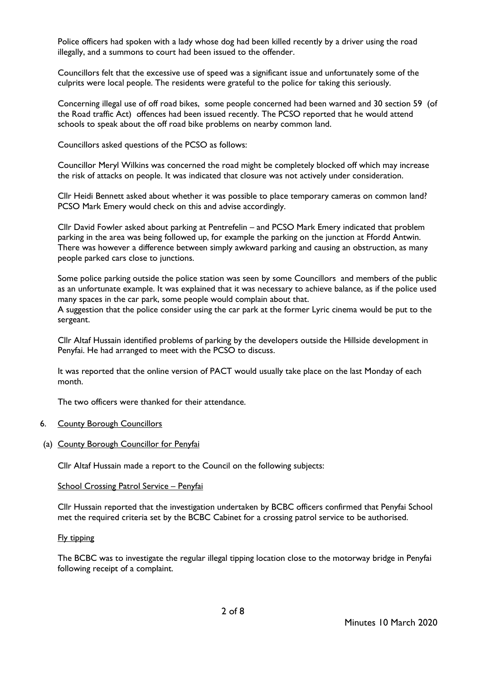Police officers had spoken with a lady whose dog had been killed recently by a driver using the road illegally, and a summons to court had been issued to the offender.

Councillors felt that the excessive use of speed was a significant issue and unfortunately some of the culprits were local people. The residents were grateful to the police for taking this seriously.

Concerning illegal use of off road bikes, some people concerned had been warned and 30 section 59 (of the Road traffic Act) offences had been issued recently. The PCSO reported that he would attend schools to speak about the off road bike problems on nearby common land.

Councillors asked questions of the PCSO as follows:

Councillor Meryl Wilkins was concerned the road might be completely blocked off which may increase the risk of attacks on people. It was indicated that closure was not actively under consideration.

Cllr Heidi Bennett asked about whether it was possible to place temporary cameras on common land? PCSO Mark Emery would check on this and advise accordingly.

Cllr David Fowler asked about parking at Pentrefelin – and PCSO Mark Emery indicated that problem parking in the area was being followed up, for example the parking on the junction at Ffordd Antwin. There was however a difference between simply awkward parking and causing an obstruction, as many people parked cars close to junctions.

Some police parking outside the police station was seen by some Councillors and members of the public as an unfortunate example. It was explained that it was necessary to achieve balance, as if the police used many spaces in the car park, some people would complain about that.

A suggestion that the police consider using the car park at the former Lyric cinema would be put to the sergeant.

Cllr Altaf Hussain identified problems of parking by the developers outside the Hillside development in Penyfai. He had arranged to meet with the PCSO to discuss.

It was reported that the online version of PACT would usually take place on the last Monday of each month.

The two officers were thanked for their attendance.

# 6. County Borough Councillors

(a) County Borough Councillor for Penyfai

Cllr Altaf Hussain made a report to the Council on the following subjects:

### School Crossing Patrol Service – Penyfai

Cllr Hussain reported that the investigation undertaken by BCBC officers confirmed that Penyfai School met the required criteria set by the BCBC Cabinet for a crossing patrol service to be authorised.

### Fly tipping

The BCBC was to investigate the regular illegal tipping location close to the motorway bridge in Penyfai following receipt of a complaint.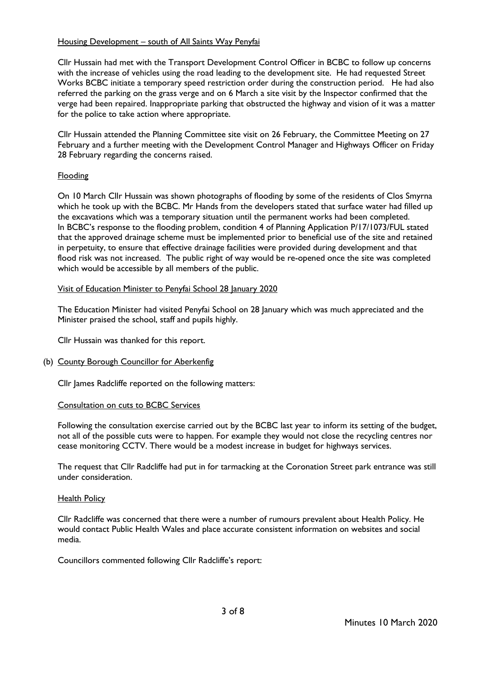## Housing Development – south of All Saints Way Penyfai

Cllr Hussain had met with the Transport Development Control Officer in BCBC to follow up concerns with the increase of vehicles using the road leading to the development site. He had requested Street Works BCBC initiate a temporary speed restriction order during the construction period. He had also referred the parking on the grass verge and on 6 March a site visit by the Inspector confirmed that the verge had been repaired. Inappropriate parking that obstructed the highway and vision of it was a matter for the police to take action where appropriate.

Cllr Hussain attended the Planning Committee site visit on 26 February, the Committee Meeting on 27 February and a further meeting with the Development Control Manager and Highways Officer on Friday 28 February regarding the concerns raised.

## Flooding

On 10 March Cllr Hussain was shown photographs of flooding by some of the residents of Clos Smyrna which he took up with the BCBC. Mr Hands from the developers stated that surface water had filled up the excavations which was a temporary situation until the permanent works had been completed. In BCBC's response to the flooding problem, condition 4 of Planning Application P/17/1073/FUL stated that the approved drainage scheme must be implemented prior to beneficial use of the site and retained in perpetuity, to ensure that effective drainage facilities were provided during development and that flood risk was not increased. The public right of way would be re-opened once the site was completed which would be accessible by all members of the public.

## Visit of Education Minister to Penyfai School 28 January 2020

The Education Minister had visited Penyfai School on 28 January which was much appreciated and the Minister praised the school, staff and pupils highly.

Cllr Hussain was thanked for this report.

# (b) County Borough Councillor for Aberkenfig

Cllr James Radcliffe reported on the following matters:

### Consultation on cuts to BCBC Services

Following the consultation exercise carried out by the BCBC last year to inform its setting of the budget, not all of the possible cuts were to happen. For example they would not close the recycling centres nor cease monitoring CCTV. There would be a modest increase in budget for highways services.

The request that Cllr Radcliffe had put in for tarmacking at the Coronation Street park entrance was still under consideration.

### Health Policy

Cllr Radcliffe was concerned that there were a number of rumours prevalent about Health Policy. He would contact Public Health Wales and place accurate consistent information on websites and social media.

Councillors commented following Cllr Radcliffe's report: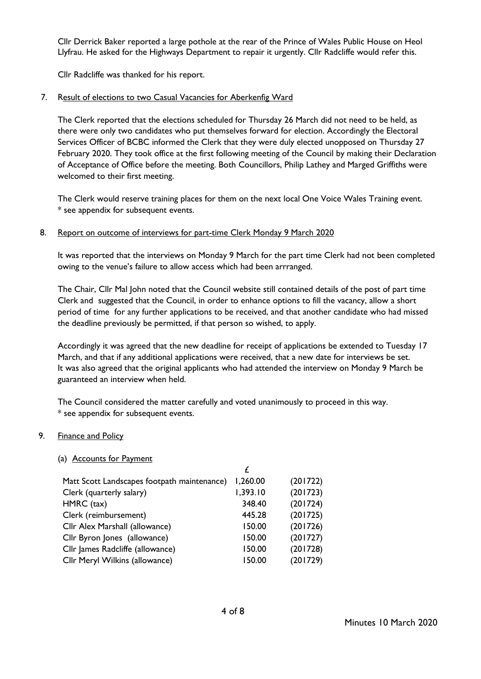Cllr Derrick Baker reported a large pothole at the rear of the Prince of Wales Public House on Heol Llyfrau. He asked for the Highways Department to repair it urgently. Cllr Radcliffe would refer this.

Cllr Radcliffe was thanked for his report.

## 7. Result of elections to two Casual Vacancies for Aberkenfig Ward

The Clerk reported that the elections scheduled for Thursday 26 March did not need to be held, as there were only two candidates who put themselves forward for election. Accordingly the Electoral Services Officer of BCBC informed the Clerk that they were duly elected unopposed on Thursday 27 February 2020. They took office at the first following meeting of the Council by making their Declaration of Acceptance of Office before the meeting. Both Councillors, Philip Lathey and Marged Griffiths were welcomed to their first meeting.

The Clerk would reserve training places for them on the next local One Voice Wales Training event. \* see appendix for subsequent events.

## 8. Report on outcome of interviews for part-time Clerk Monday 9 March 2020

It was reported that the interviews on Monday 9 March for the part time Clerk had not been completed owing to the venue's failure to allow access which had been arrranged.

The Chair, Cllr Mal John noted that the Council website still contained details of the post of part time Clerk and suggested that the Council, in order to enhance options to fill the vacancy, allow a short period of time for any further applications to be received, and that another candidate who had missed the deadline previously be permitted, if that person so wished, to apply.

Accordingly it was agreed that the new deadline for receipt of applications be extended to Tuesday 17 March, and that if any additional applications were received, that a new date for interviews be set. It was also agreed that the original applicants who had attended the interview on Monday 9 March be guaranteed an interview when held.

The Council considered the matter carefully and voted unanimously to proceed in this way. \* see appendix for subsequent events.

### 9. Finance and Policy

### (a) Accounts for Payment

| Matt Scott Landscapes footpath maintenance) | 1,260.00 | (201722) |
|---------------------------------------------|----------|----------|
| Clerk (quarterly salary)                    | 1,393.10 | (201723) |
| HMRC (tax)                                  | 348.40   | (201724) |
| Clerk (reimbursement)                       | 445.28   | (201725) |
| Cllr Alex Marshall (allowance)              | 150.00   | (201726) |
| Cllr Byron Jones (allowance)                | 150.00   | (201727) |
| Cllr James Radcliffe (allowance)            | 150.00   | (201728) |
| Cllr Meryl Wilkins (allowance)              | 150.00   | (201729) |
|                                             |          |          |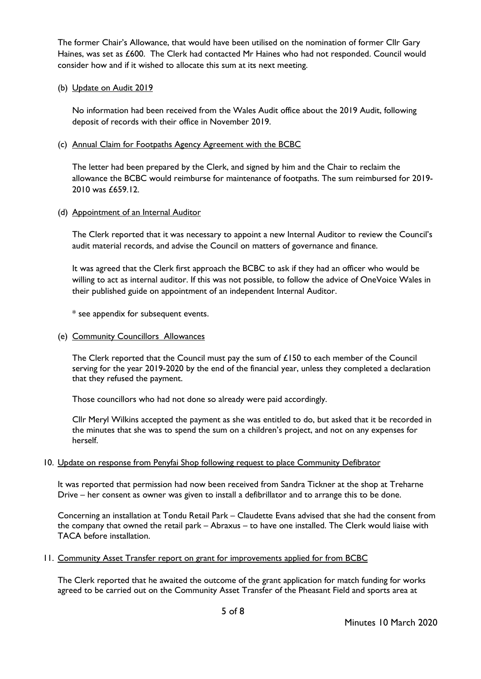The former Chair's Allowance, that would have been utilised on the nomination of former Cllr Gary Haines, was set as £600. The Clerk had contacted Mr Haines who had not responded. Council would consider how and if it wished to allocate this sum at its next meeting.

## (b) Update on Audit 2019

No information had been received from the Wales Audit office about the 2019 Audit, following deposit of records with their office in November 2019.

## (c) Annual Claim for Footpaths Agency Agreement with the BCBC

The letter had been prepared by the Clerk, and signed by him and the Chair to reclaim the allowance the BCBC would reimburse for maintenance of footpaths. The sum reimbursed for 2019- 2010 was £659.12.

## (d) Appointment of an Internal Auditor

The Clerk reported that it was necessary to appoint a new Internal Auditor to review the Council's audit material records, and advise the Council on matters of governance and finance.

It was agreed that the Clerk first approach the BCBC to ask if they had an officer who would be willing to act as internal auditor. If this was not possible, to follow the advice of OneVoice Wales in their published guide on appointment of an independent Internal Auditor.

\* see appendix for subsequent events.

## (e) Community Councillors Allowances

The Clerk reported that the Council must pay the sum of  $£150$  to each member of the Council serving for the year 2019-2020 by the end of the financial year, unless they completed a declaration that they refused the payment.

Those councillors who had not done so already were paid accordingly.

Cllr Meryl Wilkins accepted the payment as she was entitled to do, but asked that it be recorded in the minutes that she was to spend the sum on a children's project, and not on any expenses for herself.

### 10. Update on response from Penyfai Shop following request to place Community Defibrator

It was reported that permission had now been received from Sandra Tickner at the shop at Treharne Drive – her consent as owner was given to install a defibrillator and to arrange this to be done.

Concerning an installation at Tondu Retail Park – Claudette Evans advised that she had the consent from the company that owned the retail park – Abraxus – to have one installed. The Clerk would liaise with TACA before installation.

# 11. Community Asset Transfer report on grant for improvements applied for from BCBC

The Clerk reported that he awaited the outcome of the grant application for match funding for works agreed to be carried out on the Community Asset Transfer of the Pheasant Field and sports area at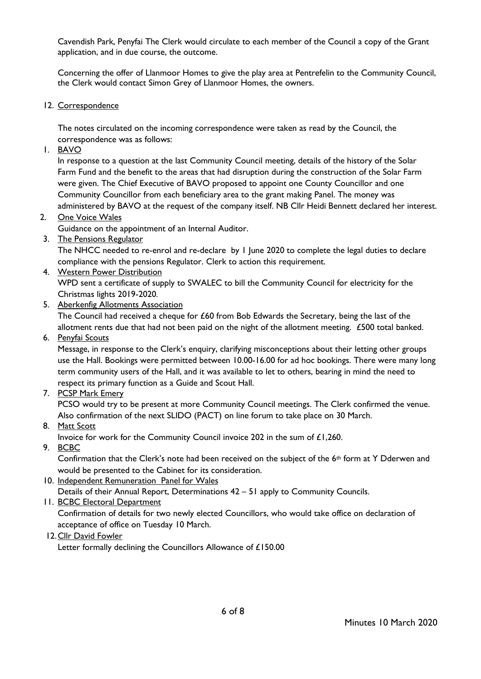Cavendish Park, Penyfai The Clerk would circulate to each member of the Council a copy of the Grant application, and in due course, the outcome.

Concerning the offer of Llanmoor Homes to give the play area at Pentrefelin to the Community Council, the Clerk would contact Simon Grey of Llanmoor Homes, the owners.

12. Correspondence

The notes circulated on the incoming correspondence were taken as read by the Council, the correspondence was as follows:

1. BAVO

In response to a question at the last Community Council meeting, details of the history of the Solar Farm Fund and the benefit to the areas that had disruption during the construction of the Solar Farm were given. The Chief Executive of BAVO proposed to appoint one County Councillor and one Community Councillor from each beneficiary area to the grant making Panel. The money was administered by BAVO at the request of the company itself. NB Cllr Heidi Bennett declared her interest.

2. One Voice Wales

Guidance on the appointment of an Internal Auditor.

3. The Pensions Regulator

The NHCC needed to re-enrol and re-declare by 1 June 2020 to complete the legal duties to declare compliance with the pensions Regulator. Clerk to action this requirement.

4. Western Power Distribution

WPD sent a certificate of supply to SWALEC to bill the Community Council for electricity for the Christmas lights 2019-2020.

5. Aberkenfig Allotments Association

The Council had received a cheque for £60 from Bob Edwards the Secretary, being the last of the allotment rents due that had not been paid on the night of the allotment meeting. £500 total banked.

6. Penyfai Scouts

Message, in response to the Clerk's enquiry, clarifying misconceptions about their letting other groups use the Hall. Bookings were permitted between 10.00-16.00 for ad hoc bookings. There were many long term community users of the Hall, and it was available to let to others, bearing in mind the need to respect its primary function as a Guide and Scout Hall.

7. PCSP Mark Emery

PCSO would try to be present at more Community Council meetings. The Clerk confirmed the venue. Also confirmation of the next SLIDO (PACT) on line forum to take place on 30 March.

8. Matt Scott

Invoice for work for the Community Council invoice 202 in the sum of £1,260.

9. BCBC

Confirmation that the Clerk's note had been received on the subject of the 6th form at Y Dderwen and would be presented to the Cabinet for its consideration.

10. Independent Remuneration Panel for Wales

Details of their Annual Report, Determinations 42 – 51 apply to Community Councils.

11. BCBC Electoral Department

Confirmation of details for two newly elected Councillors, who would take office on declaration of acceptance of office on Tuesday 10 March.

12.Cllr David Fowler

Letter formally declining the Councillors Allowance of £150.00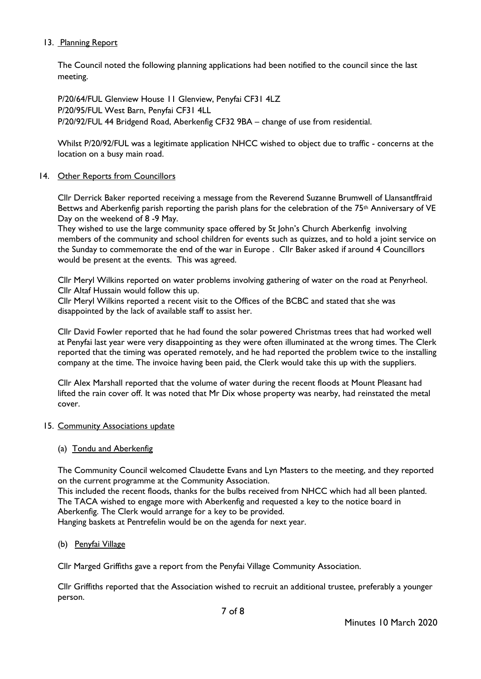# 13. Planning Report

The Council noted the following planning applications had been notified to the council since the last meeting.

P/20/64/FUL Glenview House 11 Glenview, Penyfai CF31 4LZ P/20/95/FUL West Barn, Penyfai CF31 4LL P/20/92/FUL 44 Bridgend Road, Aberkenfig CF32 9BA – change of use from residential.

Whilst P/20/92/FUL was a legitimate application NHCC wished to object due to traffic - concerns at the location on a busy main road.

## 14. Other Reports from Councillors

Cllr Derrick Baker reported receiving a message from the Reverend Suzanne Brumwell of Llansantffraid Bettws and Aberkenfig parish reporting the parish plans for the celebration of the  $75<sup>th</sup>$  Anniversary of VE Day on the weekend of 8 -9 May.

They wished to use the large community space offered by St John's Church Aberkenfig involving members of the community and school children for events such as quizzes, and to hold a joint service on the Sunday to commemorate the end of the war in Europe . Cllr Baker asked if around 4 Councillors would be present at the events. This was agreed.

Cllr Meryl Wilkins reported on water problems involving gathering of water on the road at Penyrheol. Cllr Altaf Hussain would follow this up.

Cllr Meryl Wilkins reported a recent visit to the Offices of the BCBC and stated that she was disappointed by the lack of available staff to assist her.

Cllr David Fowler reported that he had found the solar powered Christmas trees that had worked well at Penyfai last year were very disappointing as they were often illuminated at the wrong times. The Clerk reported that the timing was operated remotely, and he had reported the problem twice to the installing company at the time. The invoice having been paid, the Clerk would take this up with the suppliers.

Cllr Alex Marshall reported that the volume of water during the recent floods at Mount Pleasant had lifted the rain cover off. It was noted that Mr Dix whose property was nearby, had reinstated the metal cover.

### 15. Community Associations update

# (a) Tondu and Aberkenfig

The Community Council welcomed Claudette Evans and Lyn Masters to the meeting, and they reported on the current programme at the Community Association.

This included the recent floods, thanks for the bulbs received from NHCC which had all been planted. The TACA wished to engage more with Aberkenfig and requested a key to the notice board in Aberkenfig. The Clerk would arrange for a key to be provided.

Hanging baskets at Pentrefelin would be on the agenda for next year.

# (b) Penyfai Village

Cllr Marged Griffiths gave a report from the Penyfai Village Community Association.

Cllr Griffiths reported that the Association wished to recruit an additional trustee, preferably a younger person.